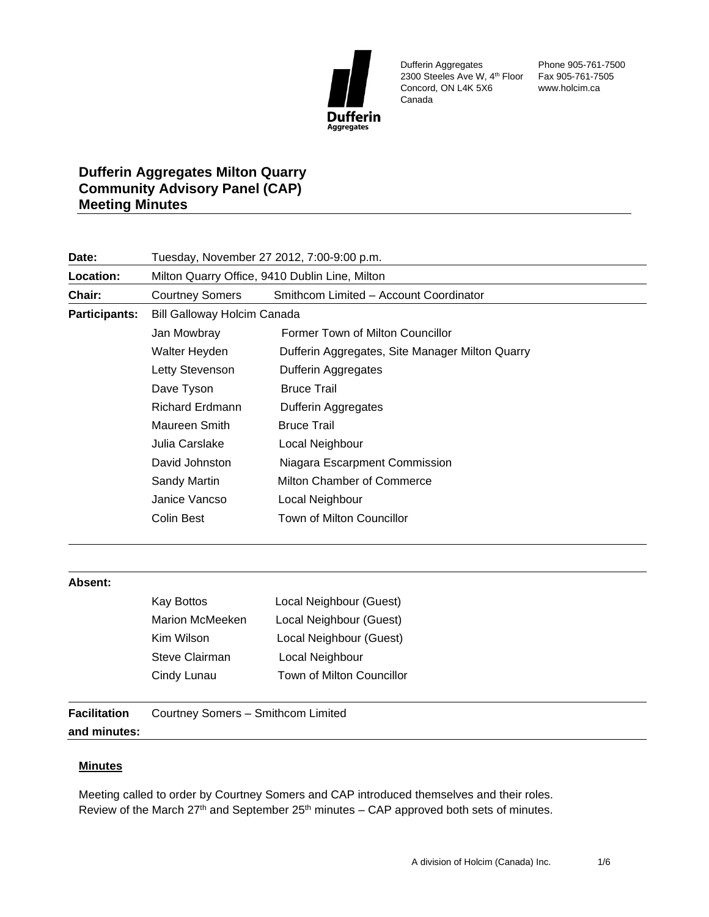

Dufferin Aggregates 2300 Steeles Ave W, 4th Floor Fax 905-761-7505 Concord, ON L4K 5X6 Canada

Phone 905-761-7500 www.holcim.ca

## **Dufferin Aggregates Milton Quarry Community Advisory Panel (CAP) Meeting Minutes**

| Date:                | Tuesday, November 27 2012, 7:00-9:00 p.m.      |                                                 |  |
|----------------------|------------------------------------------------|-------------------------------------------------|--|
| Location:            | Milton Quarry Office, 9410 Dublin Line, Milton |                                                 |  |
| Chair:               | <b>Courtney Somers</b>                         | Smithcom Limited - Account Coordinator          |  |
| <b>Participants:</b> | <b>Bill Galloway Holcim Canada</b>             |                                                 |  |
|                      | Jan Mowbray                                    | Former Town of Milton Councillor                |  |
|                      | Walter Heyden                                  | Dufferin Aggregates, Site Manager Milton Quarry |  |
|                      | Letty Stevenson                                | Dufferin Aggregates                             |  |
|                      | Dave Tyson                                     | <b>Bruce Trail</b>                              |  |
|                      | <b>Richard Erdmann</b>                         | <b>Dufferin Aggregates</b>                      |  |
|                      | Maureen Smith                                  | <b>Bruce Trail</b>                              |  |
|                      | Julia Carslake                                 | Local Neighbour                                 |  |
|                      | David Johnston                                 | Niagara Escarpment Commission                   |  |
|                      | Sandy Martin                                   | Milton Chamber of Commerce                      |  |
|                      | Janice Vancso                                  | Local Neighbour                                 |  |
|                      | Colin Best                                     | Town of Milton Councillor                       |  |
|                      |                                                |                                                 |  |

## **Absent:**

| <b>Kay Bottos</b> | Local Neighbour (Guest)   |
|-------------------|---------------------------|
| Marion McMeeken   | Local Neighbour (Guest)   |
| Kim Wilson        | Local Neighbour (Guest)   |
| Steve Clairman    | Local Neighbour           |
| Cindy Lunau       | Town of Milton Councillor |
|                   |                           |

**Facilitation and minutes:** Courtney Somers – Smithcom Limited

## **Minutes**

Meeting called to order by Courtney Somers and CAP introduced themselves and their roles. Review of the March  $27<sup>th</sup>$  and September  $25<sup>th</sup>$  minutes – CAP approved both sets of minutes.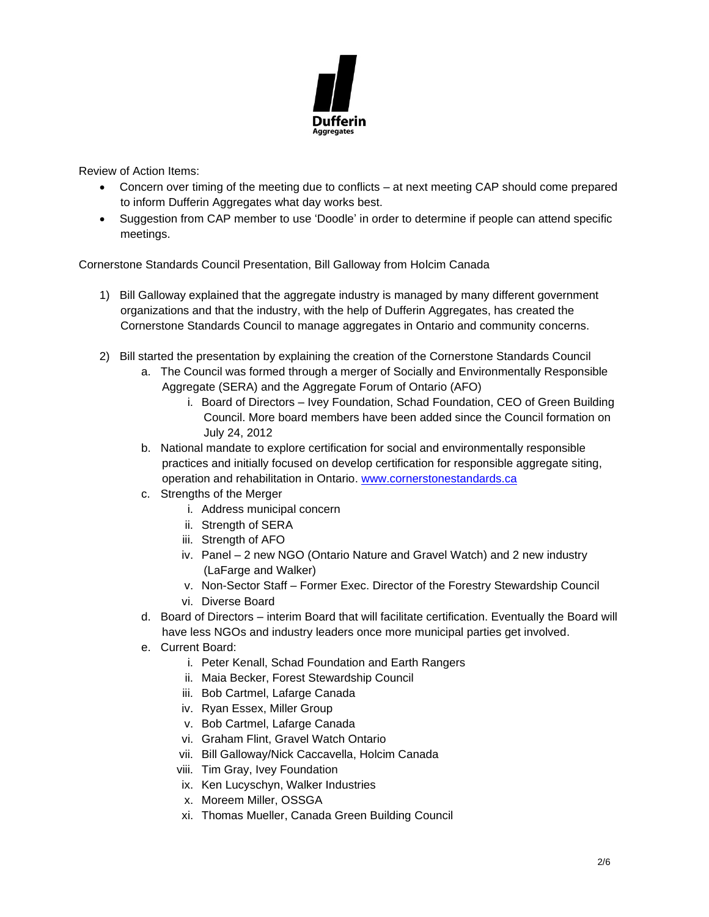

Review of Action Items:

- Concern over timing of the meeting due to conflicts at next meeting CAP should come prepared to inform Dufferin Aggregates what day works best.
- Suggestion from CAP member to use 'Doodle' in order to determine if people can attend specific meetings.

Cornerstone Standards Council Presentation, Bill Galloway from Holcim Canada

- 1) Bill Galloway explained that the aggregate industry is managed by many different government organizations and that the industry, with the help of Dufferin Aggregates, has created the Cornerstone Standards Council to manage aggregates in Ontario and community concerns.
- 2) Bill started the presentation by explaining the creation of the Cornerstone Standards Council
	- a. The Council was formed through a merger of Socially and Environmentally Responsible Aggregate (SERA) and the Aggregate Forum of Ontario (AFO)
		- i. Board of Directors Ivey Foundation, Schad Foundation, CEO of Green Building Council. More board members have been added since the Council formation on July 24, 2012
	- b. National mandate to explore certification for social and environmentally responsible practices and initially focused on develop certification for responsible aggregate siting, operation and rehabilitation in Ontario. [www.cornerstonestandards.ca](http://www.cornerstonestandards.ca/)
	- c. Strengths of the Merger
		- i. Address municipal concern
		- ii. Strength of SERA
		- iii. Strength of AFO
		- iv. Panel 2 new NGO (Ontario Nature and Gravel Watch) and 2 new industry (LaFarge and Walker)
		- v. Non-Sector Staff Former Exec. Director of the Forestry Stewardship Council
		- vi. Diverse Board
	- d. Board of Directors interim Board that will facilitate certification. Eventually the Board will have less NGOs and industry leaders once more municipal parties get involved.
	- e. Current Board:
		- i. Peter Kenall, Schad Foundation and Earth Rangers
		- ii. Maia Becker, Forest Stewardship Council
		- iii. Bob Cartmel, Lafarge Canada
		- iv. Ryan Essex, Miller Group
		- v. Bob Cartmel, Lafarge Canada
		- vi. Graham Flint, Gravel Watch Ontario
		- vii. Bill Galloway/Nick Caccavella, Holcim Canada
		- viii. Tim Gray, Ivey Foundation
		- ix. Ken Lucyschyn, Walker Industries
		- x. Moreem Miller, OSSGA
		- xi. Thomas Mueller, Canada Green Building Council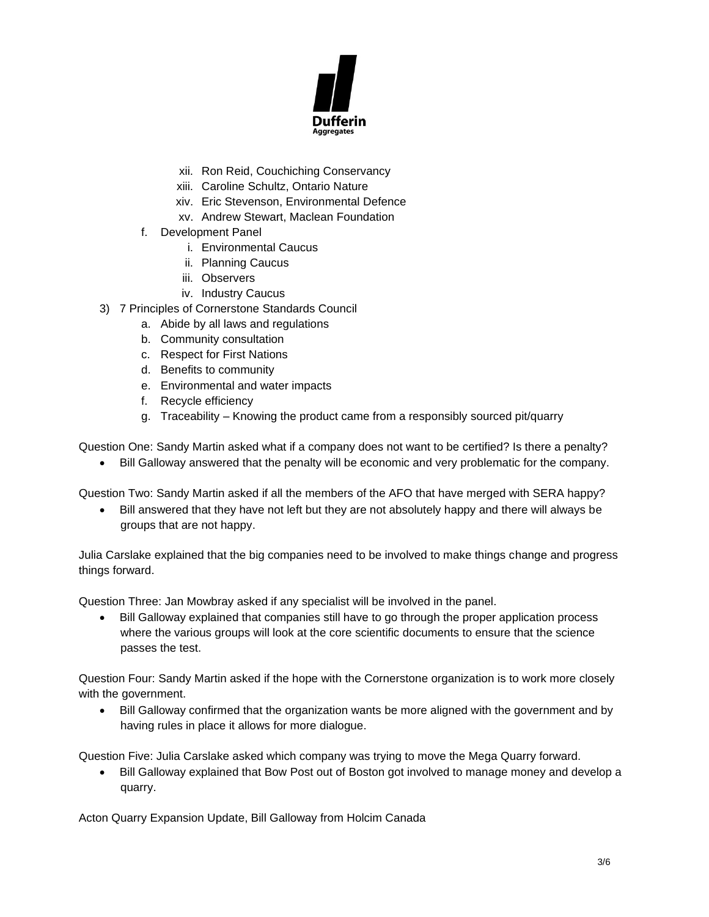

- xii. Ron Reid, Couchiching Conservancy
- xiii. Caroline Schultz, Ontario Nature
- xiv. Eric Stevenson, Environmental Defence
- xv. Andrew Stewart, Maclean Foundation
- f. Development Panel
	- i. Environmental Caucus
	- ii. Planning Caucus
	- iii. Observers
	- iv. Industry Caucus
- 3) 7 Principles of Cornerstone Standards Council
	- a. Abide by all laws and regulations
	- b. Community consultation
	- c. Respect for First Nations
	- d. Benefits to community
	- e. Environmental and water impacts
	- f. Recycle efficiency
	- g. Traceability Knowing the product came from a responsibly sourced pit/quarry

Question One: Sandy Martin asked what if a company does not want to be certified? Is there a penalty?

• Bill Galloway answered that the penalty will be economic and very problematic for the company.

Question Two: Sandy Martin asked if all the members of the AFO that have merged with SERA happy?

• Bill answered that they have not left but they are not absolutely happy and there will always be groups that are not happy.

Julia Carslake explained that the big companies need to be involved to make things change and progress things forward.

Question Three: Jan Mowbray asked if any specialist will be involved in the panel.

• Bill Galloway explained that companies still have to go through the proper application process where the various groups will look at the core scientific documents to ensure that the science passes the test.

Question Four: Sandy Martin asked if the hope with the Cornerstone organization is to work more closely with the government.

• Bill Galloway confirmed that the organization wants be more aligned with the government and by having rules in place it allows for more dialogue.

Question Five: Julia Carslake asked which company was trying to move the Mega Quarry forward.

• Bill Galloway explained that Bow Post out of Boston got involved to manage money and develop a quarry.

Acton Quarry Expansion Update, Bill Galloway from Holcim Canada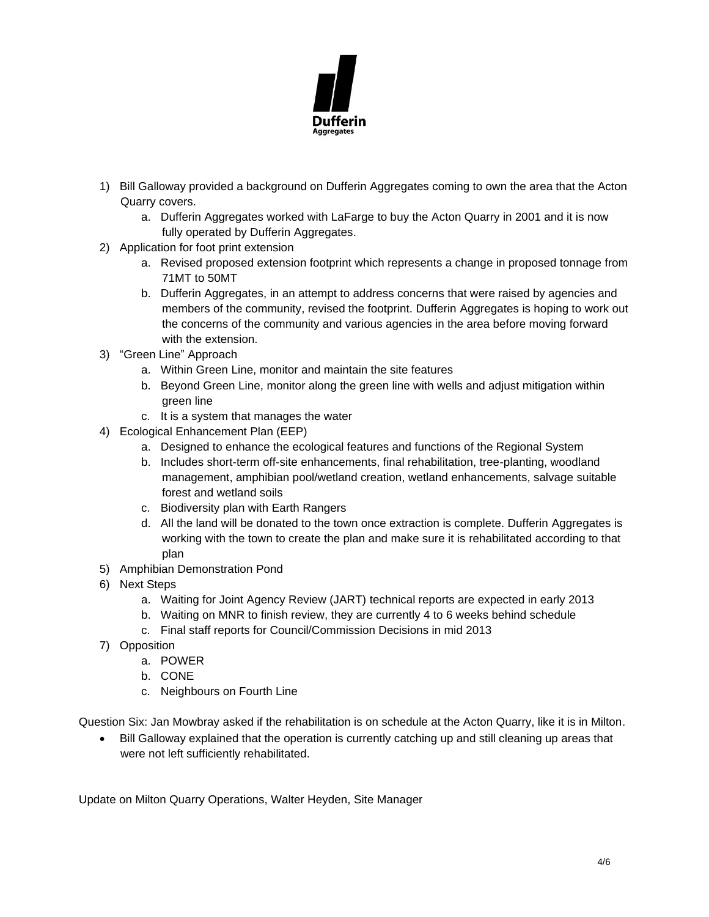

- 1) Bill Galloway provided a background on Dufferin Aggregates coming to own the area that the Acton Quarry covers.
	- a. Dufferin Aggregates worked with LaFarge to buy the Acton Quarry in 2001 and it is now fully operated by Dufferin Aggregates.
- 2) Application for foot print extension
	- a. Revised proposed extension footprint which represents a change in proposed tonnage from 71MT to 50MT
	- b. Dufferin Aggregates, in an attempt to address concerns that were raised by agencies and members of the community, revised the footprint. Dufferin Aggregates is hoping to work out the concerns of the community and various agencies in the area before moving forward with the extension.
- 3) "Green Line" Approach
	- a. Within Green Line, monitor and maintain the site features
	- b. Beyond Green Line, monitor along the green line with wells and adjust mitigation within green line
	- c. It is a system that manages the water
- 4) Ecological Enhancement Plan (EEP)
	- a. Designed to enhance the ecological features and functions of the Regional System
	- b. Includes short-term off-site enhancements, final rehabilitation, tree-planting, woodland management, amphibian pool/wetland creation, wetland enhancements, salvage suitable forest and wetland soils
	- c. Biodiversity plan with Earth Rangers
	- d. All the land will be donated to the town once extraction is complete. Dufferin Aggregates is working with the town to create the plan and make sure it is rehabilitated according to that plan
- 5) Amphibian Demonstration Pond
- 6) Next Steps
	- a. Waiting for Joint Agency Review (JART) technical reports are expected in early 2013
	- b. Waiting on MNR to finish review, they are currently 4 to 6 weeks behind schedule
	- c. Final staff reports for Council/Commission Decisions in mid 2013
- 7) Opposition
	- a. POWER
	- b. CONE
	- c. Neighbours on Fourth Line

Question Six: Jan Mowbray asked if the rehabilitation is on schedule at the Acton Quarry, like it is in Milton.

• Bill Galloway explained that the operation is currently catching up and still cleaning up areas that were not left sufficiently rehabilitated.

Update on Milton Quarry Operations, Walter Heyden, Site Manager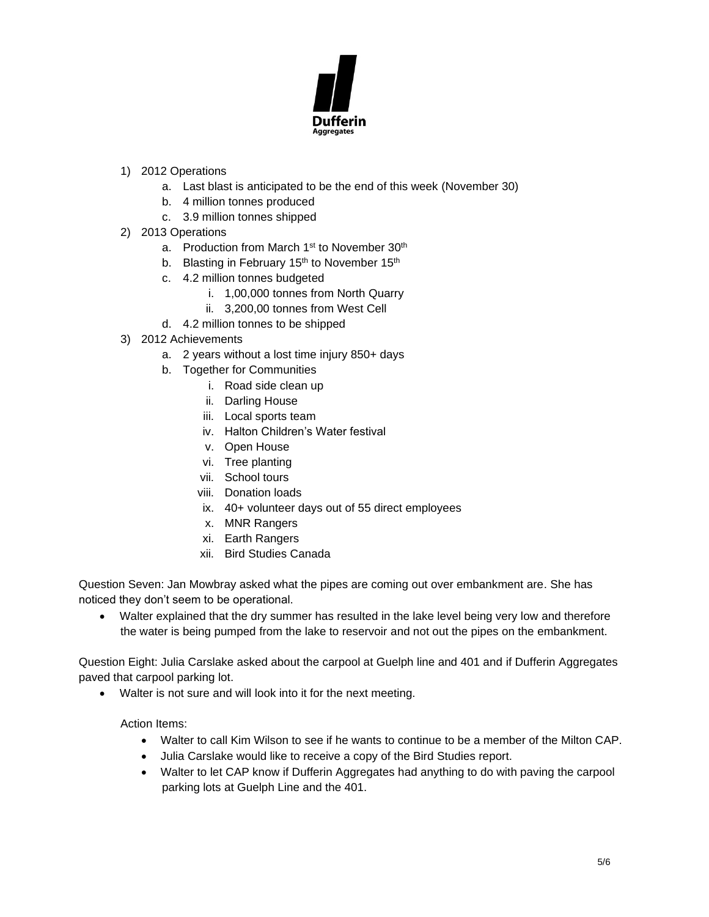

- 1) 2012 Operations
	- a. Last blast is anticipated to be the end of this week (November 30)
	- b. 4 million tonnes produced
	- c. 3.9 million tonnes shipped
- 2) 2013 Operations
	- a. Production from March 1<sup>st</sup> to November 30<sup>th</sup>
	- b. Blasting in February  $15<sup>th</sup>$  to November  $15<sup>th</sup>$
	- c. 4.2 million tonnes budgeted
		- i. 1,00,000 tonnes from North Quarry
		- ii. 3,200,00 tonnes from West Cell
	- d. 4.2 million tonnes to be shipped
- 3) 2012 Achievements
	- a. 2 years without a lost time injury 850+ days
	- b. Together for Communities
		- i. Road side clean up
		- ii. Darling House
		- iii. Local sports team
		- iv. Halton Children's Water festival
		- v. Open House
		- vi. Tree planting
		- vii. School tours
		- viii. Donation loads
		- ix. 40+ volunteer days out of 55 direct employees
		- x. MNR Rangers
		- xi. Earth Rangers
		- xii. Bird Studies Canada

Question Seven: Jan Mowbray asked what the pipes are coming out over embankment are. She has noticed they don't seem to be operational.

• Walter explained that the dry summer has resulted in the lake level being very low and therefore the water is being pumped from the lake to reservoir and not out the pipes on the embankment.

Question Eight: Julia Carslake asked about the carpool at Guelph line and 401 and if Dufferin Aggregates paved that carpool parking lot.

Walter is not sure and will look into it for the next meeting.

Action Items:

- Walter to call Kim Wilson to see if he wants to continue to be a member of the Milton CAP.
- Julia Carslake would like to receive a copy of the Bird Studies report.
- Walter to let CAP know if Dufferin Aggregates had anything to do with paving the carpool parking lots at Guelph Line and the 401.